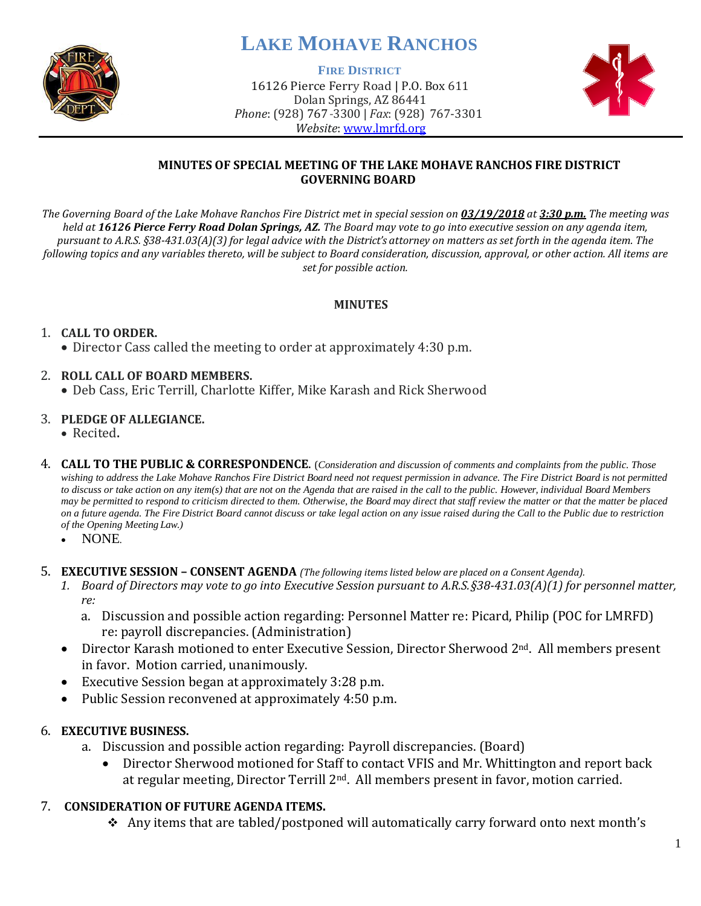

# **LAKE MOHAVE RANCHOS**

**FIRE DISTRICT**

16126 Pierce Ferry Road | P.O. Box 611 Dolan Springs, AZ 86441 *Phone*: (928) 767-3300 | *Fax*: (928) 767-3301 *Website*: [www.lmrfd.org](http://www.lmrfd.org/)



## **MINUTES OF SPECIAL MEETING OF THE LAKE MOHAVE RANCHOS FIRE DISTRICT GOVERNING BOARD**

*The Governing Board of the Lake Mohave Ranchos Fire District met in special session on 03/19/2018 at 3:30 p.m. The meeting was held at 16126 Pierce Ferry Road Dolan Springs, AZ. The Board may vote to go into executive session on any agenda item, pursuant to A.R.S. §38-431.03(A)(3) for legal advice with the District's attorney on matters as set forth in the agenda item. The following topics and any variables thereto, will be subject to Board consideration, discussion, approval, or other action. All items are set for possible action.*

#### **MINUTES**

## 1. **CALL TO ORDER.**

• Director Cass called the meeting to order at approximately 4:30 p.m.

## 2. **ROLL CALL OF BOARD MEMBERS.**

• Deb Cass, Eric Terrill, Charlotte Kiffer, Mike Karash and Rick Sherwood

#### 3. **PLEDGE OF ALLEGIANCE.**

- Recited**.**
- 4. **CALL TO THE PUBLIC & CORRESPONDENCE**. (*Consideration and discussion of comments and complaints from the public. Those wishing to address the Lake Mohave Ranchos Fire District Board need not request permission in advance. The Fire District Board is not permitted to discuss or take action on any item(s) that are not on the Agenda that are raised in the call to the public. However, individual Board Members may be permitted to respond to criticism directed to them. Otherwise, the Board may direct that staff review the matter or that the matter be placed on a future agenda. The Fire District Board cannot discuss or take legal action on any issue raised during the Call to the Public due to restriction of the Opening Meeting Law.)*
	- NONE*.*
- 5. **EXECUTIVE SESSION – CONSENT AGENDA** *(The following items listed below are placed on a Consent Agenda).*
	- *1. Board of Directors may vote to go into Executive Session pursuant to A.R.S.§38-431.03(A)(1) for personnel matter, re:*
		- a. Discussion and possible action regarding: Personnel Matter re: Picard, Philip (POC for LMRFD) re: payroll discrepancies. (Administration)
	- Director Karash motioned to enter Executive Session, Director Sherwood 2<sup>nd</sup>. All members present in favor. Motion carried, unanimously.
	- Executive Session began at approximately 3:28 p.m.
	- Public Session reconvened at approximately 4:50 p.m.

## 6. **EXECUTIVE BUSINESS.**

- a. Discussion and possible action regarding: Payroll discrepancies. (Board)
	- Director Sherwood motioned for Staff to contact VFIS and Mr. Whittington and report back at regular meeting, Director Terrill 2<sup>nd</sup>. All members present in favor, motion carried.

## 7. **CONSIDERATION OF FUTURE AGENDA ITEMS.**

❖ Any items that are tabled/postponed will automatically carry forward onto next month's